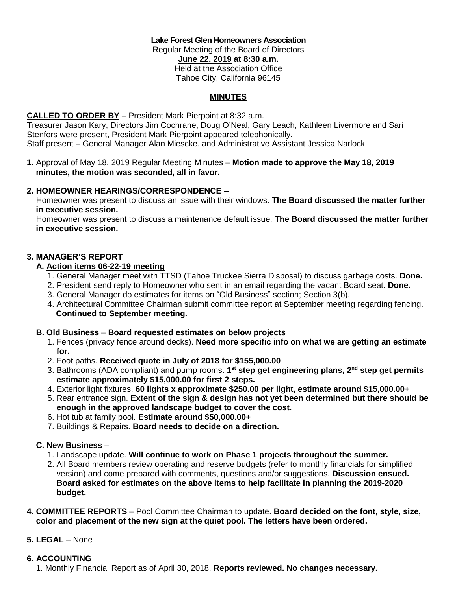**Lake Forest Glen Homeowners Association** Regular Meeting of the Board of Directors **June 22, 2019 at 8:30 a.m.** Held at the Association Office Tahoe City, California 96145

# **MINUTES**

# **CALLED TO ORDER BY** – President Mark Pierpoint at 8:32 a.m.

Treasurer Jason Kary, Directors Jim Cochrane, Doug O'Neal, Gary Leach, Kathleen Livermore and Sari Stenfors were present, President Mark Pierpoint appeared telephonically. Staff present – General Manager Alan Miescke, and Administrative Assistant Jessica Narlock

**1.** Approval of May 18, 2019 Regular Meeting Minutes – **Motion made to approve the May 18, 2019 minutes, the motion was seconded, all in favor.**

## **2. HOMEOWNER HEARINGS/CORRESPONDENCE** –

 Homeowner was present to discuss an issue with their windows. **The Board discussed the matter further in executive session.**

 Homeowner was present to discuss a maintenance default issue. **The Board discussed the matter further in executive session.**

## **3. MANAGER'S REPORT**

#### **A. Action items 06-22-19 meeting**

- 1. General Manager meet with TTSD (Tahoe Truckee Sierra Disposal) to discuss garbage costs. **Done.**
- 2. President send reply to Homeowner who sent in an email regarding the vacant Board seat. **Done.**
- 3. General Manager do estimates for items on "Old Business" section; Section 3(b).
- 4. Architectural Committee Chairman submit committee report at September meeting regarding fencing. **Continued to September meeting.**

#### **B. Old Business** – **Board requested estimates on below projects**

- 1. Fences (privacy fence around decks). **Need more specific info on what we are getting an estimate for.**
- 2. Foot paths. **Received quote in July of 2018 for \$155,000.00**
- 3. Bathrooms (ADA compliant) and pump rooms. **1 st step get engineering plans, 2nd step get permits estimate approximately \$15,000.00 for first 2 steps.**
	- 4. Exterior light fixtures. **60 lights x approximate \$250.00 per light, estimate around \$15,000.00+**
	- 5. Rear entrance sign. **Extent of the sign & design has not yet been determined but there should be enough in the approved landscape budget to cover the cost.**
	- 6. Hot tub at family pool. **Estimate around \$50,000.00+**
	- 7. Buildings & Repairs. **Board needs to decide on a direction.**

## **C. New Business** –

- 1. Landscape update. **Will continue to work on Phase 1 projects throughout the summer.**
- 2. All Board members review operating and reserve budgets (refer to monthly financials for simplified version) and come prepared with comments, questions and/or suggestions. **Discussion ensued. Board asked for estimates on the above items to help facilitate in planning the 2019-2020 budget.**
- **4. COMMITTEE REPORTS**  Pool Committee Chairman to update. **Board decided on the font, style, size, color and placement of the new sign at the quiet pool. The letters have been ordered.**

#### **5. LEGAL** – None

#### **6. ACCOUNTING**

1. Monthly Financial Report as of April 30, 2018. **Reports reviewed. No changes necessary.**